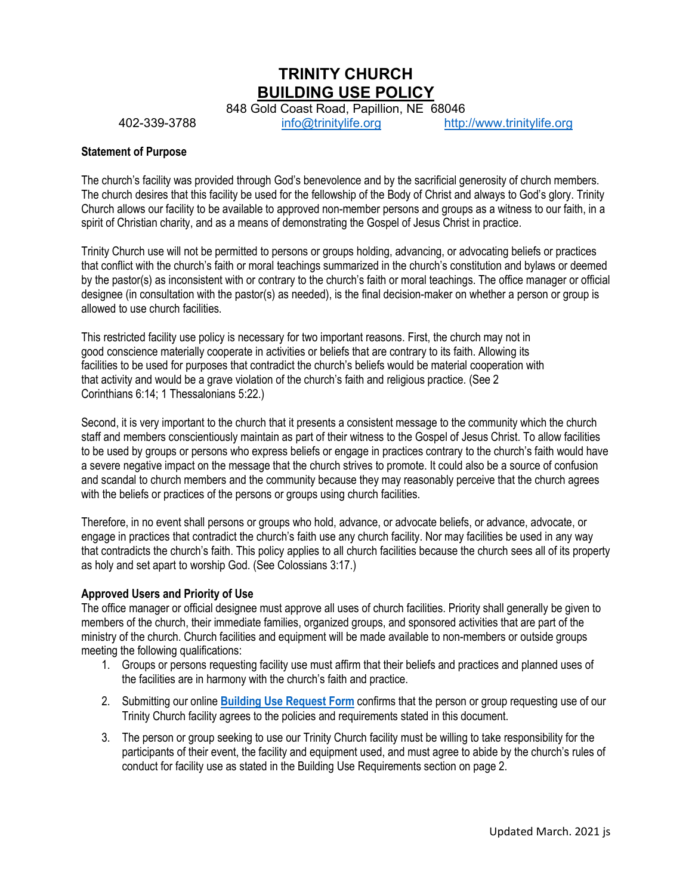**TRINITY CHURCH BUILDING USE POLICY**

848 Gold Coast Road, Papillion, NE 68046<br>info@trinitylife.org http: 402-339-3788 [info@trinitylife.org](mailto:info@trinitylife.org) [http://www.trinitylife.org](http://www.trinitylife.org/)

### **Statement of Purpose**

The church's facility was provided through God's benevolence and by the sacrificial generosity of church members. The church desires that this facility be used for the fellowship of the Body of Christ and always to God's glory. Trinity Church allows our facility to be available to approved non-member persons and groups as a witness to our faith, in a spirit of Christian charity, and as a means of demonstrating the Gospel of Jesus Christ in practice.

Trinity Church use will not be permitted to persons or groups holding, advancing, or advocating beliefs or practices that conflict with the church's faith or moral teachings summarized in the church's constitution and bylaws or deemed by the pastor(s) as inconsistent with or contrary to the church's faith or moral teachings. The office manager or official designee (in consultation with the pastor(s) as needed), is the final decision-maker on whether a person or group is allowed to use church facilities.

This restricted facility use policy is necessary for two important reasons. First, the church may not in good conscience materially cooperate in activities or beliefs that are contrary to its faith. Allowing its facilities to be used for purposes that contradict the church's beliefs would be material cooperation with that activity and would be a grave violation of the church's faith and religious practice. (See 2 Corinthians 6:14; 1 Thessalonians 5:22.)

Second, it is very important to the church that it presents a consistent message to the community which the church staff and members conscientiously maintain as part of their witness to the Gospel of Jesus Christ. To allow facilities to be used by groups or persons who express beliefs or engage in practices contrary to the church's faith would have a severe negative impact on the message that the church strives to promote. It could also be a source of confusion and scandal to church members and the community because they may reasonably perceive that the church agrees with the beliefs or practices of the persons or groups using church facilities.

Therefore, in no event shall persons or groups who hold, advance, or advocate beliefs, or advance, advocate, or engage in practices that contradict the church's faith use any church facility. Nor may facilities be used in any way that contradicts the church's faith. This policy applies to all church facilities because the church sees all of its property as holy and set apart to worship God. (See Colossians 3:17.)

### **Approved Users and Priority of Use**

The office manager or official designee must approve all uses of church facilities. Priority shall generally be given to members of the church, their immediate families, organized groups, and sponsored activities that are part of the ministry of the church. Church facilities and equipment will be made available to non-members or outside groups meeting the following qualifications:

- 1. Groups or persons requesting facility use must affirm that their beliefs and practices and planned uses of the facilities are in harmony with the church's faith and practice.
- 2. Submitting our online **[Building Use Request Form](https://trinitylifepapio.churchcenter.com/people/forms/223696)** confirms that the person or group requesting use of our Trinity Church facility agrees to the policies and requirements stated in this document.
- 3. The person or group seeking to use our Trinity Church facility must be willing to take responsibility for the participants of their event, the facility and equipment used, and must agree to abide by the church's rules of conduct for facility use as stated in the Building Use Requirements section on page 2.